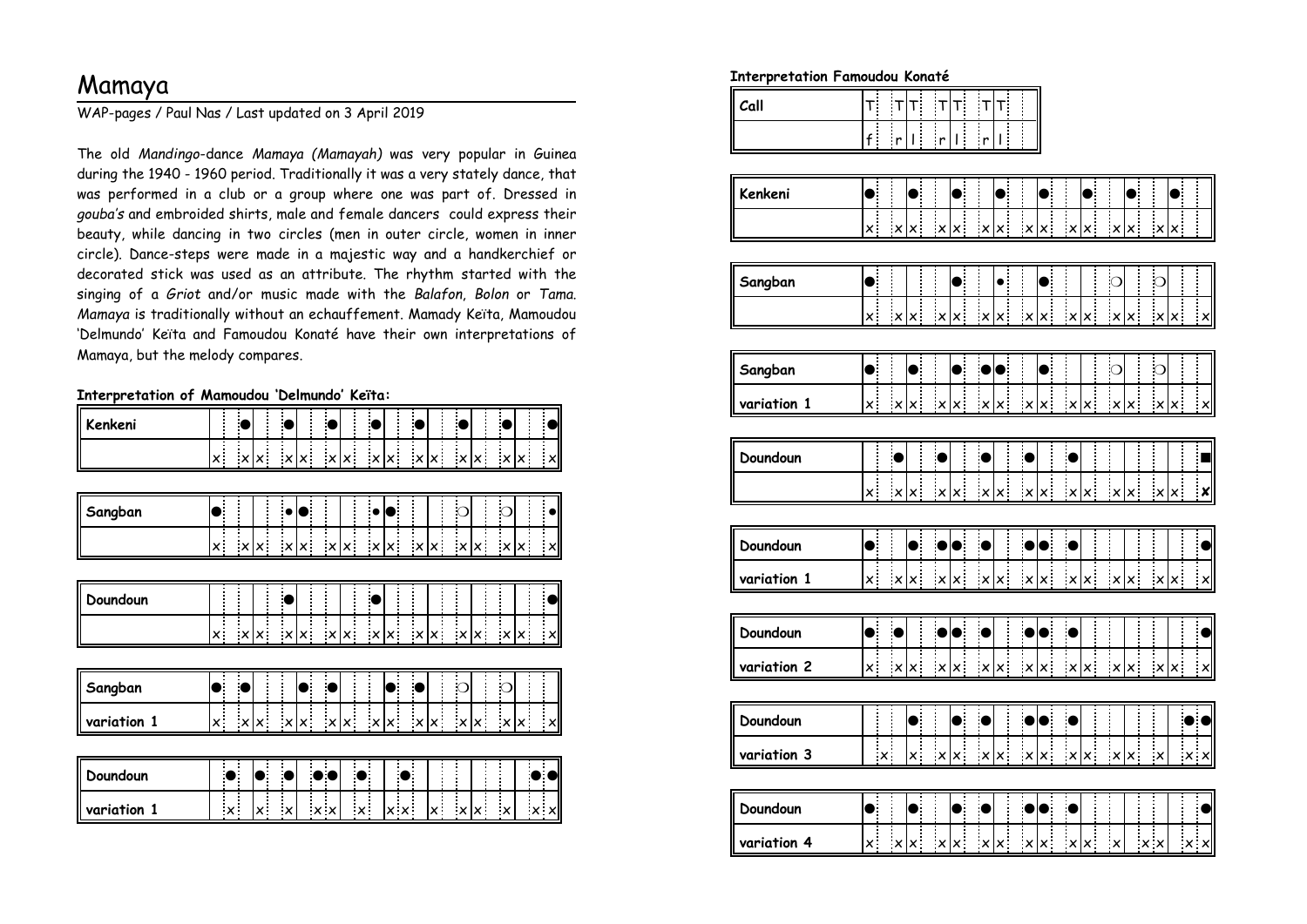## Mamaya

WAP-pages / Paul Nas / Last updated on 3 April 2019

The old *Mandingo*-dance *Mamaya (Mamayah)* was very popular in Guinea during the 1940 - 1960 period. Traditionally it was a very stately dance, that was performed in a club or a group where one was part of. Dressed in *gouba's* and embroided shirts, male and female dancers could express their beauty, while dancing in two circles (men in outer circle, women in inner circle). Dance-steps were made in a majestic way and a handkerchief or decorated stick was used as an attribute. The rhythm started with the singing of a *Griot* and/or music made with the *Balafon*, *Bolon* or *Tama*. *Mamaya* is traditionally without an echauffement. Mamady Keïta, Mamoudou 'Delmundo' Keïta and Famoudou Konaté have their own interpretations ofMamaya, but the melody compares.

**Interpretation of Mamoudou 'Delmundo' Keïta:**

| Kenkeni     |                                         |            |                      |                   |                           |              |                           |                                                                                                                             |     |                      |            |            |              |     |                                 |
|-------------|-----------------------------------------|------------|----------------------|-------------------|---------------------------|--------------|---------------------------|-----------------------------------------------------------------------------------------------------------------------------|-----|----------------------|------------|------------|--------------|-----|---------------------------------|
|             | $\mathsf{x}^+$                          | x x x      |                      |                   |                           |              |                           | $\mathbf{x} \times \mathbf{x}$ $\mathbf{x} \times \mathbf{x}$ $\mathbf{x} \times \mathbf{x}$ $\mathbf{x} \times \mathbf{x}$ |     |                      |            |            |              |     | $\frac{\mathsf{x}}{\mathsf{y}}$ |
|             |                                         |            |                      |                   |                           |              |                           |                                                                                                                             |     |                      |            |            |              |     |                                 |
| Sangban     |                                         |            |                      |                   |                           |              |                           |                                                                                                                             |     |                      | $\bigcirc$ |            | $\subset$    |     |                                 |
|             | x.                                      | x x        |                      | x x               |                           | x x          | x x                       |                                                                                                                             | x x |                      |            | x x        | x x          |     | $\mathbf{x}$                    |
|             |                                         |            |                      |                   |                           |              |                           |                                                                                                                             |     |                      |            |            |              |     |                                 |
| Doundoun    |                                         |            |                      |                   |                           |              |                           |                                                                                                                             |     |                      |            |            |              |     |                                 |
|             | $\mathsf{x}^{\scriptscriptstyle \top}$  | x x        |                      | x x               | $\boldsymbol{\mathsf{x}}$ | $\mathsf{x}$ |                           | x x                                                                                                                         |     | $x _{\underline{x}}$ |            | $x \mid x$ | $\mathbf{x}$ | x.  |                                 |
|             |                                         |            |                      |                   |                           |              |                           |                                                                                                                             |     |                      |            |            |              |     |                                 |
| Sangban     |                                         |            |                      |                   |                           |              |                           |                                                                                                                             |     |                      |            |            | $\mathsf{C}$ |     |                                 |
| variation 1 | $\mathsf{x}^{\scriptscriptstyle \perp}$ | x x        |                      | $x \underline{x}$ |                           | $x$ $x$      |                           | $x \underline{x}$                                                                                                           |     | x x                  |            | x x        |              | x x |                                 |
|             |                                         |            |                      |                   |                           |              |                           |                                                                                                                             |     |                      |            |            |              |     |                                 |
| Doundoun    |                                         |            | $\ddot{\phantom{0}}$ |                   | $\bullet$                 |              |                           |                                                                                                                             |     |                      |            |            |              |     |                                 |
| variation 1 | $\boldsymbol{\times}$                   | $\times$ . | $\mathbf{x}$         |                   | $\times$ $\times$         |              | $\boldsymbol{\mathsf{x}}$ | $\times$ $\times$                                                                                                           |     | $\mathsf{x}$ .       |            | x x        | $\mathbf{x}$ |     | $\times$ $\times$               |

**Interpretation Famoudou Konaté**

| $r_{\rm all}$ |  |        |  |     |  | ٠     |  |  |
|---------------|--|--------|--|-----|--|-------|--|--|
|               |  | ٠<br>٠ |  | . . |  | п<br> |  |  |

| Kenkeni     | $\bullet$                                    |                           |                           | $\bullet$                               |                           |                                              |                           |                                         |                           |                                         |                           |                                         |                           |                                              |                   |                           |                                         |            |                           |
|-------------|----------------------------------------------|---------------------------|---------------------------|-----------------------------------------|---------------------------|----------------------------------------------|---------------------------|-----------------------------------------|---------------------------|-----------------------------------------|---------------------------|-----------------------------------------|---------------------------|----------------------------------------------|-------------------|---------------------------|-----------------------------------------|------------|---------------------------|
|             | $\mathsf{x}^{\scriptscriptstyle \top}$       |                           | $\vert x \vert$           | $\pmb{\times}$                          | $\pmb{\times}$            | $\bar{\mathbf{x}}$                           | $\pmb{\times}$            | $\bar{\mathsf{x}}$ .                    | $\boldsymbol{\times}$     | $\mathsf{x}^{\scriptscriptstyle \perp}$ | $\boldsymbol{\mathsf{x}}$ | $\pmb{\times}$                          | $\vert x \vert$           | $\mathsf{x}^{\scriptscriptstyle \downarrow}$ |                   | $\times$                  | ΙX.                                     |            |                           |
|             |                                              |                           |                           |                                         |                           |                                              |                           |                                         |                           |                                         |                           |                                         |                           |                                              |                   |                           |                                         |            |                           |
| Sangban     | $\bullet$                                    |                           |                           |                                         |                           | C                                            |                           | $\bullet$                               |                           | e                                       |                           |                                         | $\circ$                   |                                              |                   | $\bigcirc$                |                                         |            |                           |
|             | $\overline{x}$                               |                           | $\vert x \vert$           | $\mathbf{x}^{\parallel}$                | $\boldsymbol{\mathsf{x}}$ | $\mathsf{x}^{\parallel}$                     | $\boldsymbol{\mathsf{x}}$ | $\mathsf{x}^{\scriptscriptstyle \top}$  | $\mathbf{x}$              | $\mathbf{x}^{\top}$                     | $\mathbf{x}^{\prime}$     | $\mathbf{x}^{\top}$                     | $\boldsymbol{\mathsf{x}}$ | ×                                            |                   | $\mathbf{x}$              | $\mathsf{x}^{\perp}$                    |            | $\mathbf{x}$              |
|             |                                              |                           |                           |                                         |                           |                                              |                           |                                         |                           |                                         |                           |                                         |                           |                                              |                   |                           |                                         |            |                           |
| Sangban     | $\bullet$                                    |                           |                           | $\bullet$                               |                           | $\bullet$                                    | $\bullet$                 | $\bullet$                               |                           | ●                                       |                           |                                         | $\circ$                   |                                              |                   | $\circ$                   |                                         |            |                           |
| variation 1 | $\mathbf{x}$                                 |                           | '×l                       | $\mathsf{x}$ .                          | $\boldsymbol{\mathsf{x}}$ | $\mathsf{x}^{\scriptscriptstyle \top}$       | $\pmb{\times}$            | $\mathsf{x}^{\scriptscriptstyle \top}$  | $\boldsymbol{\mathsf{x}}$ | $\mathsf{x}^+$                          | $\vert x \vert$           | $\mathsf{x}^{\scriptscriptstyle \top}$  | $\vert x \vert$           | $\times$ :                                   |                   | $\pmb{\times}$            | $\mathsf{x}^{\scriptscriptstyle \perp}$ |            | $\cdot$ $\times$          |
|             |                                              |                           |                           |                                         |                           |                                              |                           |                                         |                           |                                         |                           |                                         |                           |                                              |                   |                           |                                         |            |                           |
| Doundoun    |                                              |                           | $\bullet$                 |                                         | $\bullet$                 |                                              | $\bullet$                 |                                         | $\bullet$                 |                                         | $\epsilon$                |                                         |                           |                                              |                   |                           |                                         |            | Ē                         |
|             | $\mathsf{x}^{\scriptscriptstyle \top}$       |                           | $\boldsymbol{\mathsf{x}}$ | $\pmb{\times}$                          | $\boldsymbol{\mathsf{x}}$ | $\mathsf{x}^{\scriptscriptstyle \downarrow}$ | $\times$                  | $\pmb{\times}$                          | $\boldsymbol{\mathsf{x}}$ | ×                                       | $\pmb{\times}$            | $\mathsf{x}^{\top}$                     | $\vert x \vert$           | į<br>×                                       |                   | $\boldsymbol{\times}$     | $\pmb{\times}$                          |            | $\boldsymbol{\mathsf{x}}$ |
|             |                                              |                           |                           |                                         |                           |                                              |                           |                                         |                           |                                         |                           |                                         |                           |                                              |                   |                           |                                         |            |                           |
| Doundoun    | $\bullet$                                    |                           |                           | $\bullet$                               |                           | $\bullet$                                    | $\bullet$                 |                                         |                           | ●                                       | $\bullet$                 |                                         |                           |                                              |                   |                           |                                         |            | $\bullet$                 |
| variation 1 | $\mathsf{x}^{\scriptscriptstyle \downarrow}$ |                           | $\times$                  | $\bar{\mathsf{x}}$ .                    | $\boldsymbol{\mathsf{x}}$ | $\mathsf{x}^\parallel$                       | $\times$                  | $\mathsf{x}^{\scriptscriptstyle \perp}$ | $\pmb{\times}$            | ×                                       | $\boldsymbol{\mathsf{x}}$ | $\mathsf{x}^{\scriptscriptstyle \perp}$ | $\boldsymbol{\times}$     | ×                                            |                   | $\pmb{\times}$            | $\pmb{\times}$                          |            | $\mathbf{x}$              |
|             |                                              |                           |                           |                                         |                           |                                              |                           |                                         |                           |                                         |                           |                                         |                           |                                              |                   |                           |                                         |            |                           |
| Doundoun    | $\bullet$                                    |                           |                           |                                         |                           |                                              |                           |                                         |                           | $\bullet$                               |                           |                                         |                           |                                              |                   |                           |                                         |            |                           |
| variation 2 | $\mathbf{x}^{\parallel}$                     |                           | $\vert x \vert$           | $\mathsf{x}^{\scriptscriptstyle \top}$  | $\times$                  | $\mathsf{x}^{\mathsf{T}}$                    | $\boldsymbol{\mathsf{x}}$ | $\pmb{\times}$                          | $\mathsf{x}$              | ×                                       | $\mathsf{x}$              | $\vert_{\mathsf{x}}$ :                  | $\vert x \vert$           | ×                                            |                   | $\boldsymbol{\mathsf{x}}$ | $\times$                                |            | $\mathbf{x}$              |
|             |                                              |                           |                           |                                         |                           |                                              |                           |                                         |                           |                                         |                           |                                         |                           |                                              |                   |                           |                                         |            |                           |
| Doundoun    |                                              |                           |                           | $\bullet$                               |                           | $\bullet$                                    | $\bullet$                 |                                         | $\bullet$                 | $\bullet$                               | $\bullet$                 |                                         |                           |                                              |                   |                           |                                         |            | $\bullet$                 |
| variation 3 |                                              | $\boldsymbol{\mathsf{x}}$ |                           | $\mathsf{x}^{\scriptscriptstyle \perp}$ | $\pmb{\times}$            | $\pmb{\times}$                               | $\pmb{\times}$            | $\pmb{\times}$                          | $\pmb{\times}$            | X                                       | $\boldsymbol{\mathsf{x}}$ | $\mathsf{x}^{\scriptscriptstyle \top}$  | $\pmb{\times}$            | Î<br>×                                       |                   | $\boldsymbol{\mathsf{x}}$ |                                         | $x \times$ |                           |
|             |                                              |                           |                           |                                         |                           |                                              |                           |                                         |                           |                                         |                           |                                         |                           |                                              |                   |                           |                                         |            |                           |
| Doundoun    | $\bullet$                                    |                           |                           | $\bullet$                               |                           | C                                            | $\bullet$                 |                                         | $\bullet$                 | $\bullet$                               | $\epsilon$                |                                         |                           |                                              |                   |                           |                                         |            |                           |
| variation 4 | $\overline{x}$                               |                           |                           | x x                                     | x x                       |                                              |                           | $x$ $\vert x \vert$                     |                           | x x                                     |                           | x x                                     | $\pmb{\times}$            |                                              | $\times$ $\times$ |                           |                                         |            | $x \times$                |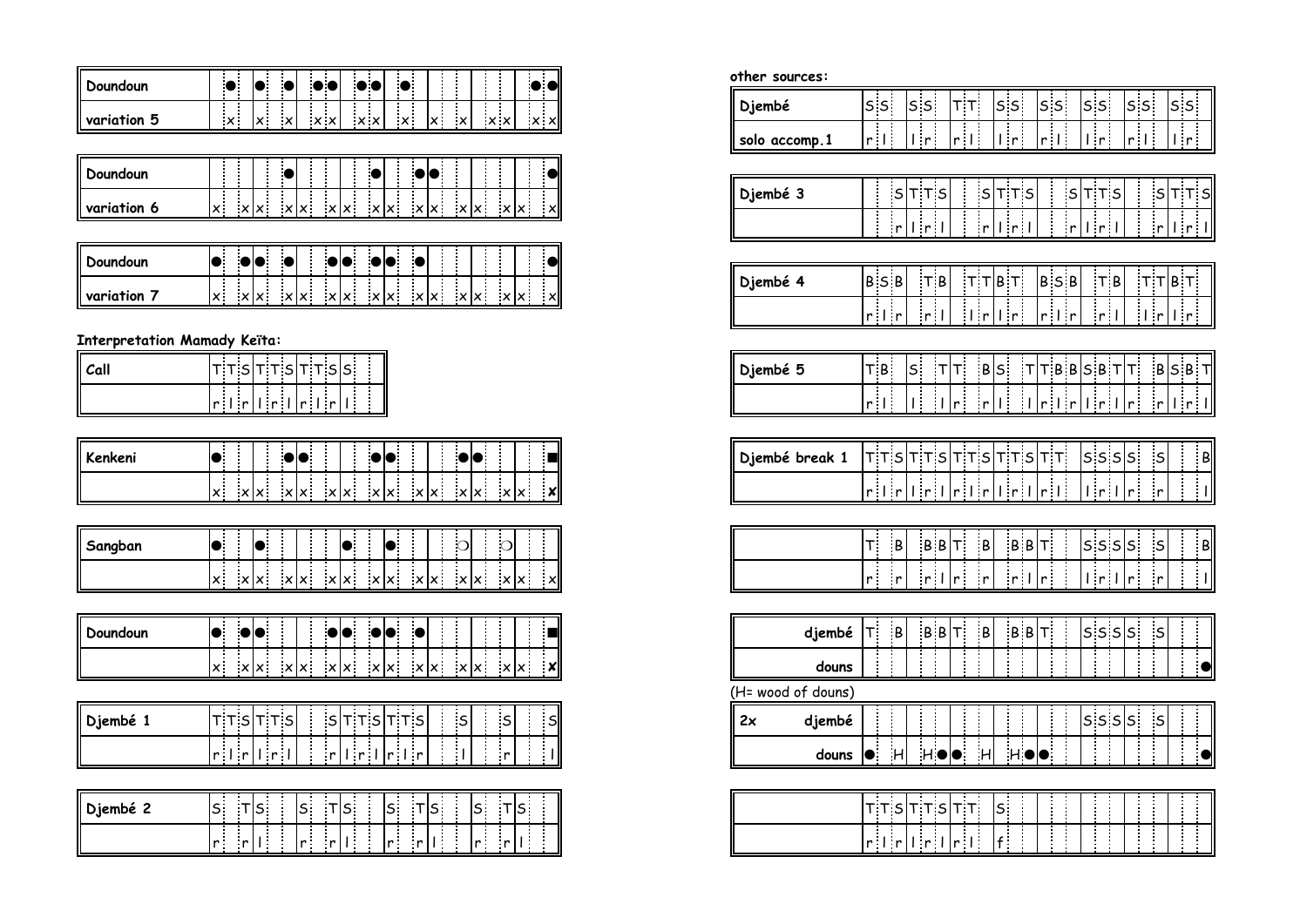| Doundoun        | - 14<br>- 1 |   | ) ( | ) (               |                        |                                          |     |
|-----------------|-------------|---|-----|-------------------|------------------------|------------------------------------------|-----|
| -5<br>variation | X.          | . |     | $\times$ $\times$ | $\cdots$<br><u>х</u> . | $\times$<br>$\cdots$<br>$\sim$<br>$\sim$ | ∴×l |

| <b>Doundoun</b> |      |  |      |                   |     |         |  |    |     |
|-----------------|------|--|------|-------------------|-----|---------|--|----|-----|
| variation<br>O  | - 11 |  | xlx. | $\times$ $\times$ | x x | xlx xlx |  | ∵× | ∴×l |

| l Doundoun |  |  |  | io e |  |                                           |  |      |     |
|------------|--|--|--|------|--|-------------------------------------------|--|------|-----|
| variation  |  |  |  |      |  | $ x $ x $ x - x $ x $ x - x $ x $ x - x $ |  | — x∣ | ∴×l |

**Interpretation Mamady Keïta:**

| <b>Call</b> |  | $\sqcup$ is it test that $\sqcap$                                                             |  |  |  |  |  |
|-------------|--|-----------------------------------------------------------------------------------------------|--|--|--|--|--|
|             |  | $\lfloor$ r $\rfloor$ r $\lfloor$ r $\lfloor$ r $\rfloor$ r $\lfloor$ r $\lfloor$ r $\rfloor$ |  |  |  |  |  |

| <b>II Kenkeni</b> |    |  |      |  |  |                       |                           |                       |  |
|-------------------|----|--|------|--|--|-----------------------|---------------------------|-----------------------|--|
|                   | x. |  | xlx: |  |  | $ x $ x $ x $ x $ x $ | $\mathsf{x}$ $\mathsf{x}$ | $\ddots$<br>$\cdot x$ |  |

| Sangban |               |       |         |  |  |                                                       |  |  |     |
|---------|---------------|-------|---------|--|--|-------------------------------------------------------|--|--|-----|
|         | $\sim$ $\sim$ | ∴∨l∨∴ | — xlx ⊹ |  |  | $ x $ x $ x - x $ x $ x - x $ x $ x - x $ x $ x - x $ |  |  | ∴×l |

| oundoun( |                |              |     |  |  |                     |  |  |     |
|----------|----------------|--------------|-----|--|--|---------------------|--|--|-----|
|          | $\mathbf{v}$ : | $\mathbf{x}$ | ∹×l |  |  | lx xlx xlx xlx xlx. |  |  | ∴×l |

| Djembé |                                                            | -                                | $\overline{\phantom{0}}$<br>- |
|--------|------------------------------------------------------------|----------------------------------|-------------------------------|
|        | $\blacksquare$<br>$r_{\rm{1}}$<br>$\overline{\phantom{a}}$ | . .<br>.<br>.<br>r I r<br>.<br>. | .                             |

|              |    |  |     |     | <b>COL</b> |     | . .                 |  | . . |  |  |
|--------------|----|--|-----|-----|------------|-----|---------------------|--|-----|--|--|
| $\mathbf{r}$ | -- |  | . . | . . |            | . . | . .<br>$\mathbf{r}$ |  |     |  |  |

| other sources:     |                  |                |                |                    |                                     |               |    |                |                          |                         |                          |                     |              |                      |                      |                |     |                            |                |                 |   |                               |                          |
|--------------------|------------------|----------------|----------------|--------------------|-------------------------------------|---------------|----|----------------|--------------------------|-------------------------|--------------------------|---------------------|--------------|----------------------|----------------------|----------------|-----|----------------------------|----------------|-----------------|---|-------------------------------|--------------------------|
| Djembé             |                  | s <sub>s</sub> |                |                    | s <sub>s</sub>                      |               |    | $T$ T          |                          |                         | s <sub>s</sub>           |                     |              | s <sub>s</sub>       |                      | s <sub>s</sub> |     |                            | s <sub>s</sub> |                 |   | 5S                            |                          |
| solo accomp.1      |                  | r <sub>1</sub> |                |                    | I r                                 | İ             |    | r <sub>1</sub> | Î                        |                         | $\mathsf{L}$ r           | Ť                   |              | r <sub>1</sub>       |                      | 1 r            |     |                            | $r \perp$      |                 |   | $\mathsf{L}(\mathsf{r})$      |                          |
|                    |                  |                |                |                    |                                     |               |    |                |                          |                         |                          |                     |              |                      |                      |                |     |                            |                |                 |   |                               |                          |
| Djembé 3           |                  | i<br>:<br>:    | S              |                    | T T S                               |               |    | İ              | $\sf S$                  |                         |                          | T T S               |              |                      | $\mathsf{s}$         | $T$ T S        |     |                            | i<br>:         | $\vert$ S       |   | $T$ T S                       |                          |
|                    |                  |                | $\mathbf{r}$   |                    | $\vert_{\vert \vert r \vert \vert}$ |               |    | İ              | $\mathbf{r}^{\parallel}$ |                         | r                        |                     |              | $\ddot{\phantom{a}}$ | $\overline{r}$       | r              |     |                            | $\ddot{}}$     | $\frac{1}{2}$   |   | $\frac{1}{1}$ r $\frac{1}{1}$ |                          |
|                    |                  |                |                |                    |                                     |               |    |                |                          |                         |                          |                     |              |                      |                      |                |     |                            |                |                 |   |                               |                          |
| Djembé 4           |                  | <b>BSB</b>     |                |                    | $T$ B                               |               |    |                | $T$ $ B $ $T$            |                         |                          |                     |              |                      | <b>BSB</b>           |                | T B |                            |                | $T$ $T$ $B$ $T$ |   |                               |                          |
|                    |                  | $r \mid r$     |                |                    | r <sub>1</sub>                      |               |    |                | $\lfloor r \rfloor$      |                         | $\mathsf{I}(\mathsf{r})$ |                     |              | $r \mid r$           |                      | r <sub>1</sub> |     |                            | $\frac{1}{2}$  |                 |   | $l$ r                         |                          |
|                    |                  |                |                |                    |                                     |               |    |                |                          |                         |                          |                     |              |                      |                      |                |     |                            |                |                 |   |                               |                          |
| Djembé 5           |                  | TB             |                | $\mathsf{s}_\cdot$ |                                     | $\mathsf{T}$  | T. |                | B                        | $S_{\perp}$             |                          | $\mathsf{T}$        |              |                      | TBBSBT               |                |     | $\mathsf{T}^{\mathsf{r}}$  |                | $B$ SBT         |   |                               |                          |
|                    |                  | r <sub>1</sub> |                | ī.                 |                                     | $\frac{1}{2}$ | r  |                | r                        | $\overline{\mathbf{I}}$ |                          | $\frac{1}{2}$       | r            | $\overline{1}$ r     |                      | r              |     | $\mathbf{r}$               |                | $\mathbf{r}$    |   | r                             |                          |
|                    |                  |                |                |                    |                                     |               |    |                |                          |                         |                          |                     |              |                      |                      |                |     |                            |                |                 |   |                               |                          |
| Djembé break 1     |                  |                |                |                    | τ τ s τ τ s                         |               |    |                | $T$ T s                  |                         |                          | $T$ $T$ $s$ $T$ $T$ |              |                      |                      |                |     | $s$ s $s$ s                |                | $\sf S$         |   |                               | B                        |
|                    |                  | $r \mid r$     |                |                    | 1r                                  |               |    |                | $r \mid r$               |                         | r                        |                     |              | r <sub>1</sub>       |                      | $l$ r $l$      |     | $\mathsf{r}^{\frac{1}{2}}$ |                | $\mathsf{r}$    |   |                               | $\overline{\phantom{a}}$ |
|                    |                  |                |                |                    |                                     |               |    |                |                          |                         |                          |                     |              |                      |                      |                |     |                            |                |                 |   |                               |                          |
|                    | T.               |                | $\overline{B}$ |                    | $B \mid B T$                        |               |    |                | $\mathsf{B}$             |                         |                          | $B B$ <sup>T</sup>  |              |                      | i.                   |                |     | $s$ s $s$ s                |                | $\mathsf{s}$    |   |                               | $\overline{B}$           |
|                    | 'n               | Ì              | r              |                    | r <sub>1</sub>                      |               | r  | İ              | $\mathsf{r}$             |                         | r <sub>1</sub>           |                     | r            | į                    | İ                    | r              |     | $\mathbf{r}^{\parallel}$   |                | $\mathbf{r}$    | İ |                               | $\overline{a}$           |
|                    |                  |                |                |                    |                                     |               |    |                |                          |                         |                          |                     |              |                      |                      |                |     |                            |                |                 |   |                               |                          |
| djembé             | $\mathsf{T}^1_1$ |                | $\,$ B         |                    |                                     | B B           | Т. |                | $\mathsf{B}$             |                         |                          | B B                 | $\mathsf{T}$ |                      |                      |                | 555 | $\mathsf{s}$ :             |                | $\mathsf S$     |   | $\frac{1}{2}$                 |                          |
| douns              |                  | İ              |                |                    |                                     |               |    |                |                          |                         |                          |                     |              |                      | $\ddot{\phantom{a}}$ | i              |     |                            |                |                 |   |                               |                          |
| (H= wood of douns) |                  |                |                |                    |                                     |               |    |                |                          |                         |                          |                     |              |                      |                      |                |     |                            |                |                 |   |                               |                          |
| 2x<br>djembé       |                  | $\ddot{}}$     | į              |                    |                                     | İ             |    | İ              |                          |                         | $\ddot{}}$               | į                   |              | İ                    |                      |                |     | s s  s                     |                | $\sf S$         |   | i                             |                          |
| douns              | $\bullet$        |                | $\overline{H}$ |                    | $\overline{H}$                      |               |    |                | H                        |                         |                          | $H \cdot$           | r            |                      | $\ddot{\phantom{a}}$ | İ              |     |                            | :<br>:         | İ               |   |                               | $\overline{\bullet}$     |
|                    |                  |                |                |                    |                                     |               |    |                |                          |                         |                          |                     |              |                      |                      |                |     |                            |                |                 |   |                               |                          |
|                    |                  |                |                |                    | ד דs <mark>דדs</mark> דד            |               |    |                |                          | $\mathsf{s}$            |                          | İ                   |              | į                    |                      | i<br>I         | İ   |                            | İ              | İ               |   |                               |                          |

<u>r l r l r l r l f</u>